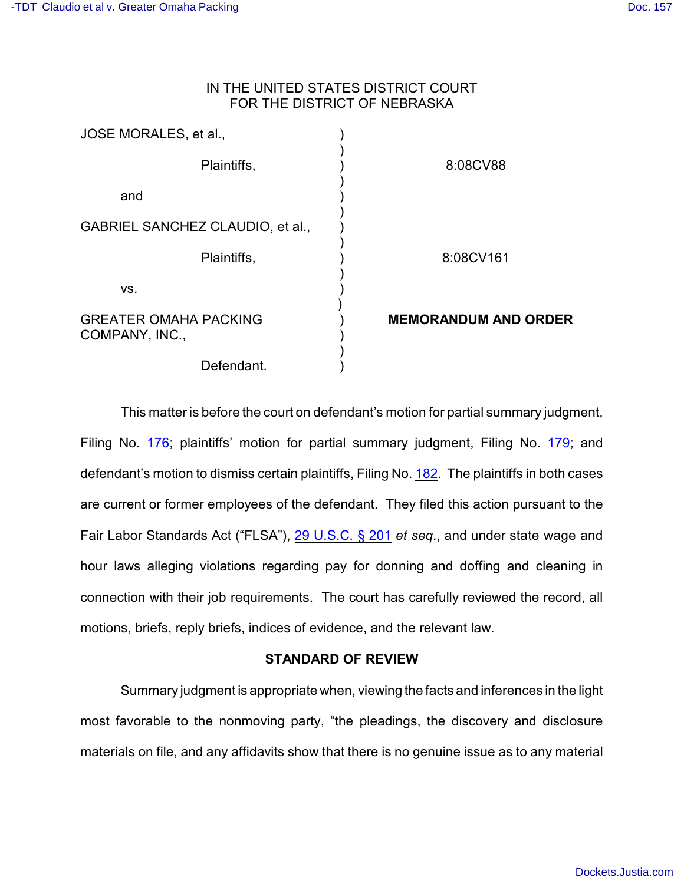# IN THE UNITED STATES DISTRICT COURT FOR THE DISTRICT OF NEBRASKA

| JOSE MORALES, et al.,                          |                             |
|------------------------------------------------|-----------------------------|
| Plaintiffs,                                    | 8:08CV88                    |
| and                                            |                             |
| GABRIEL SANCHEZ CLAUDIO, et al.,               |                             |
| Plaintiffs,                                    | 8:08CV161                   |
| VS.                                            |                             |
| <b>GREATER OMAHA PACKING</b><br>COMPANY, INC., | <b>MEMORANDUM AND ORDER</b> |
| Defendant.                                     |                             |

This matter is before the court on defendant's motion for partial summary judgment, Filing No. [176](http://ecf.ned.uscourts.gov/doc1/11302113779); plaintiffs' motion for partial summary judgment, Filing No. [179](http://ecf.ned.uscourts.gov/doc1/11302113867); and defendant's motion to dismiss certain plaintiffs, Filing No. [182](http://ecf.ned.uscourts.gov/doc1/11302123694). The plaintiffs in both cases are current or former employees of the defendant. They filed this action pursuant to the Fair Labor Standards Act ("FLSA"), [29 U.S.C. § 201](http://www.westlaw.com/find/default.wl?rs=CLWP3.0&vr=2.0&cite=29+USCA+s+201) *et seq*., and under state wage and hour laws alleging violations regarding pay for donning and doffing and cleaning in connection with their job requirements. The court has carefully reviewed the record, all motions, briefs, reply briefs, indices of evidence, and the relevant law.

## **STANDARD OF REVIEW**

Summary judgment is appropriate when, viewing the facts and inferences in the light most favorable to the nonmoving party, "the pleadings, the discovery and disclosure materials on file, and any affidavits show that there is no genuine issue as to any material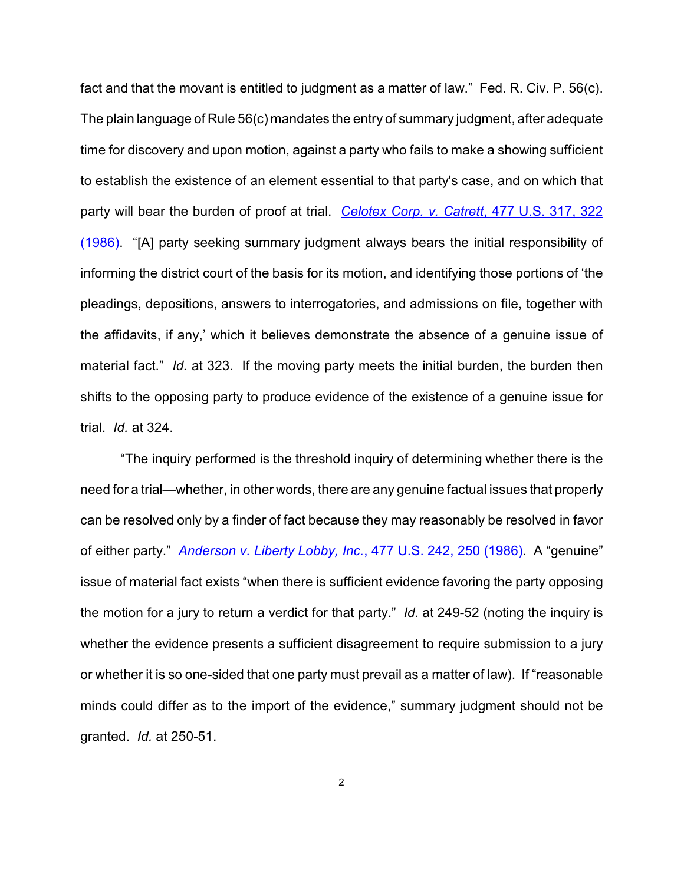fact and that the movant is entitled to judgment as a matter of law." Fed. R. Civ. P. 56(c). The plain language of Rule 56(c) mandates the entry of summary judgment, after adequate time for discovery and upon motion, against a party who fails to make a showing sufficient to establish the existence of an element essential to that party's case, and on which that party will bear the burden of proof at trial. *[Celotex Corp. v. Catrett](http://www.westlaw.com/find/default.wl?rs=CLWP3.0&vr=2.0&cite=477+U.S.+317)*, 477 U.S. 317, 322 [\(1986\)](http://www.westlaw.com/find/default.wl?rs=CLWP3.0&vr=2.0&cite=477+U.S.+317). "[A] party seeking summary judgment always bears the initial responsibility of informing the district court of the basis for its motion, and identifying those portions of 'the pleadings, depositions, answers to interrogatories, and admissions on file, together with the affidavits, if any,' which it believes demonstrate the absence of a genuine issue of material fact." *Id.* at 323. If the moving party meets the initial burden, the burden then shifts to the opposing party to produce evidence of the existence of a genuine issue for trial. *Id.* at 324.

"The inquiry performed is the threshold inquiry of determining whether there is the need for a trial—whether, in other words, there are any genuine factual issues that properly can be resolved only by a finder of fact because they may reasonably be resolved in favor of either party." *[Anderson v. Liberty Lobby, Inc.](http://www.westlaw.com/find/default.wl?rs=CLWP3.0&vr=2.0&cite=477+U.S.+242)*, 477 U.S. 242, 250 (1986). A "genuine" issue of material fact exists "when there is sufficient evidence favoring the party opposing the motion for a jury to return a verdict for that party." *Id*. at 249-52 (noting the inquiry is whether the evidence presents a sufficient disagreement to require submission to a jury or whether it is so one-sided that one party must prevail as a matter of law). If "reasonable minds could differ as to the import of the evidence," summary judgment should not be granted. *Id.* at 250-51.

2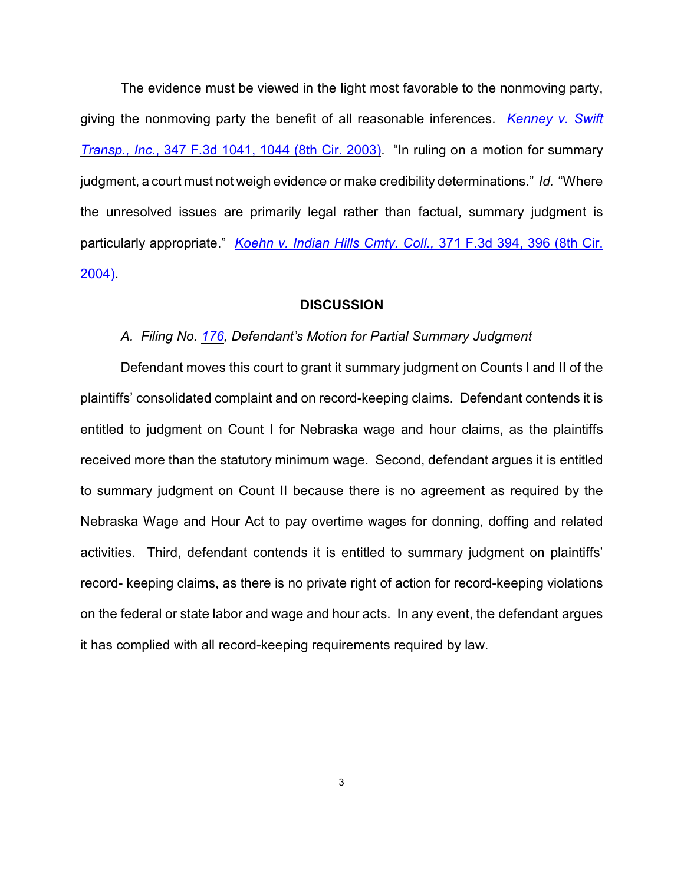The evidence must be viewed in the light most favorable to the nonmoving party, giving the nonmoving party the benefit of all reasonable inferences. *[Kenney v. Swift](http://www.westlaw.com/find/default.wl?rs=CLWP3.0&vr=2.0&cite=347+F.3d+1041) Transp., Inc.*[, 347 F.3d 1041, 1044 \(8th Cir. 2003\)](http://www.westlaw.com/find/default.wl?rs=CLWP3.0&vr=2.0&cite=347+F.3d+1041). "In ruling on a motion for summary judgment, a court must not weigh evidence or make credibility determinations." *Id.* "Where the unresolved issues are primarily legal rather than factual, summary judgment is particularly appropriate." *[Koehn v. Indian Hills Cmty. Coll.,](http://www.westlaw.com/find/default.wl?rs=CLWP3.0&vr=2.0&cite=371+F.3d+394)* 371 F.3d 394, 396 (8th Cir. [2004\)](http://www.westlaw.com/find/default.wl?rs=CLWP3.0&vr=2.0&cite=371+F.3d+394).

#### **DISCUSSION**

#### *A. Filing No. [176](http://ecf.ned.uscourts.gov/doc1/11302113779), Defendant's Motion for Partial Summary Judgment*

Defendant moves this court to grant it summary judgment on Counts I and II of the plaintiffs' consolidated complaint and on record-keeping claims. Defendant contends it is entitled to judgment on Count I for Nebraska wage and hour claims, as the plaintiffs received more than the statutory minimum wage. Second, defendant argues it is entitled to summary judgment on Count II because there is no agreement as required by the Nebraska Wage and Hour Act to pay overtime wages for donning, doffing and related activities. Third, defendant contends it is entitled to summary judgment on plaintiffs' record- keeping claims, as there is no private right of action for record-keeping violations on the federal or state labor and wage and hour acts. In any event, the defendant argues it has complied with all record-keeping requirements required by law.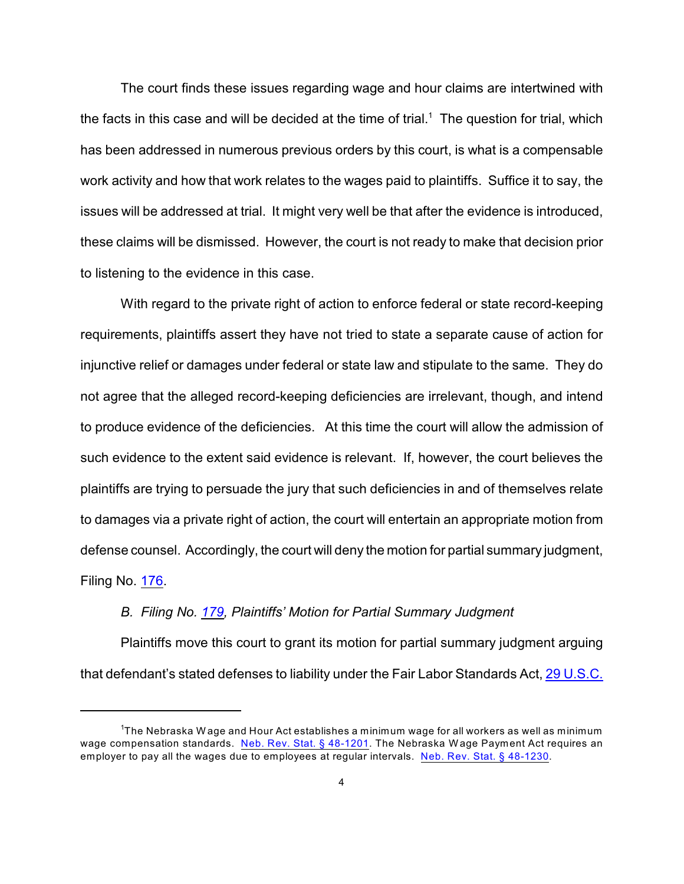The court finds these issues regarding wage and hour claims are intertwined with the facts in this case and will be decided at the time of trial.<sup>1</sup> The question for trial, which has been addressed in numerous previous orders by this court, is what is a compensable work activity and how that work relates to the wages paid to plaintiffs. Suffice it to say, the issues will be addressed at trial. It might very well be that after the evidence is introduced, these claims will be dismissed. However, the court is not ready to make that decision prior to listening to the evidence in this case.

With regard to the private right of action to enforce federal or state record-keeping requirements, plaintiffs assert they have not tried to state a separate cause of action for injunctive relief or damages under federal or state law and stipulate to the same. They do not agree that the alleged record-keeping deficiencies are irrelevant, though, and intend to produce evidence of the deficiencies. At this time the court will allow the admission of such evidence to the extent said evidence is relevant. If, however, the court believes the plaintiffs are trying to persuade the jury that such deficiencies in and of themselves relate to damages via a private right of action, the court will entertain an appropriate motion from defense counsel. Accordingly, the court will deny the motion for partial summary judgment, Filing No. [176](http://ecf.ned.uscourts.gov/doc1/11302113779).

### *B. Filing No. [179](http://ecf.ned.uscourts.gov/doc1/11302113867), Plaintiffs' Motion for Partial Summary Judgment*

Plaintiffs move this court to grant its motion for partial summary judgment arguing that defendant's stated defenses to liability under the Fair Labor Standards Act, [29 U.S.C.](http://www.westlaw.com/find/default.wl?rs=CLWP3.0&vr=2.0&cite=29+USCA+s+201)

 $1$ The Nebraska Wage and Hour Act establishes a minimum wage for all workers as well as minimum wage compensation standards. [Neb. Rev. Stat. § 48-1201](http://www.westlaw.com/find/default.wl?rs=CLWP3.0&vr=2.0&cite=NE+ST+s+48-1201). The Nebraska Wage Payment Act requires an employer to pay all the wages due to employees at regular intervals. [Neb. Rev. Stat. § 48-1230](http://www.westlaw.com/find/default.wl?rs=CLWP3.0&vr=2.0&cite=NE+ST+s+48-1230).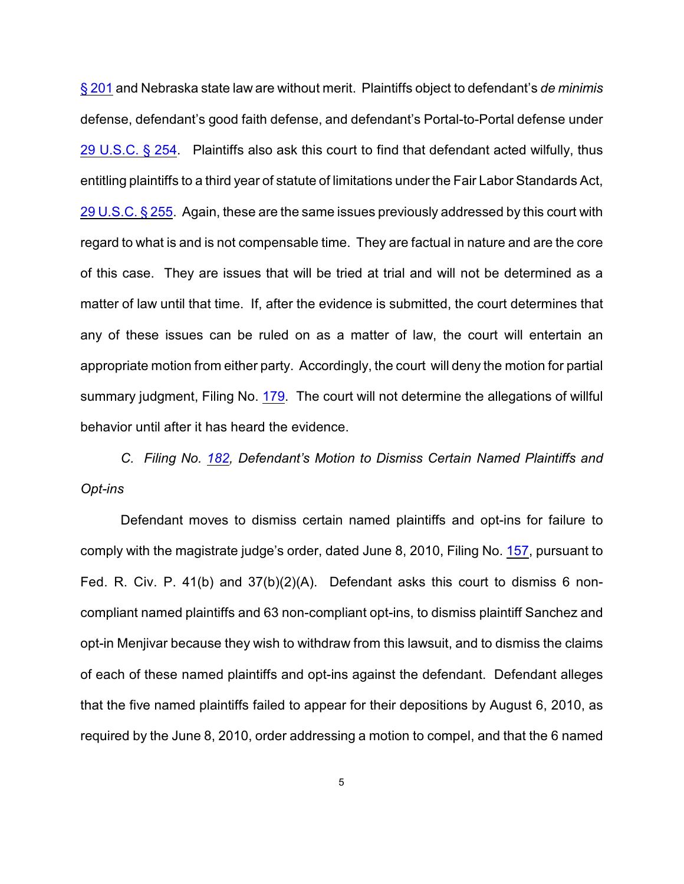§ 201 and Nebraska state law are without merit. Plaintiffs object to defendant's *de minimis* defense, defendant's good faith defense, and defendant's Portal-to-Portal defense under [29 U.S.C. § 254](http://www.westlaw.com/find/default.wl?rs=CLWP3.0&vr=2.0&cite=29+USCA+s+254). Plaintiffs also ask this court to find that defendant acted wilfully, thus entitling plaintiffs to a third year of statute of limitations under the Fair Labor Standards Act, [29 U.S.C. § 255](http://www.westlaw.com/find/default.wl?rs=CLWP3.0&vr=2.0&cite=29+USCA+s+255). Again, these are the same issues previously addressed by this court with regard to what is and is not compensable time. They are factual in nature and are the core of this case. They are issues that will be tried at trial and will not be determined as a matter of law until that time. If, after the evidence is submitted, the court determines that any of these issues can be ruled on as a matter of law, the court will entertain an appropriate motion from either party. Accordingly, the court will deny the motion for partial summary judgment, Filing No. [179](http://ecf.ned.uscourts.gov/doc1/11302113867). The court will not determine the allegations of willful behavior until after it has heard the evidence.

*C. Filing No. [182](http://ecf.ned.uscourts.gov/doc1/11302123694), Defendant's Motion to Dismiss Certain Named Plaintiffs and Opt-ins*

Defendant moves to dismiss certain named plaintiffs and opt-ins for failure to comply with the magistrate judge's order, dated June 8, 2010, Filing No. [157](http://ecf.ned.uscourts.gov/doc1/11302034140), pursuant to Fed. R. Civ. P. 41(b) and 37(b)(2)(A). Defendant asks this court to dismiss 6 noncompliant named plaintiffs and 63 non-compliant opt-ins, to dismiss plaintiff Sanchez and opt-in Menjivar because they wish to withdraw from this lawsuit, and to dismiss the claims of each of these named plaintiffs and opt-ins against the defendant. Defendant alleges that the five named plaintiffs failed to appear for their depositions by August 6, 2010, as required by the June 8, 2010, order addressing a motion to compel, and that the 6 named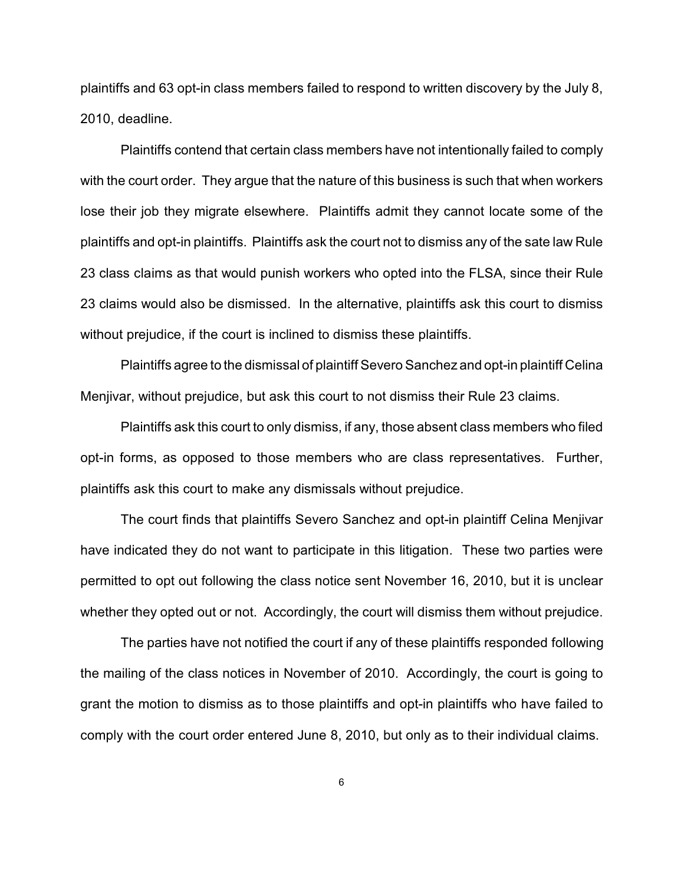plaintiffs and 63 opt-in class members failed to respond to written discovery by the July 8, 2010, deadline.

Plaintiffs contend that certain class members have not intentionally failed to comply with the court order. They argue that the nature of this business is such that when workers lose their job they migrate elsewhere. Plaintiffs admit they cannot locate some of the plaintiffs and opt-in plaintiffs. Plaintiffs ask the court not to dismiss any of the sate law Rule 23 class claims as that would punish workers who opted into the FLSA, since their Rule 23 claims would also be dismissed. In the alternative, plaintiffs ask this court to dismiss without prejudice, if the court is inclined to dismiss these plaintiffs.

Plaintiffs agree to the dismissal of plaintiff Severo Sanchez and opt-in plaintiff Celina Menjivar, without prejudice, but ask this court to not dismiss their Rule 23 claims.

Plaintiffs ask this court to only dismiss, if any, those absent class members who filed opt-in forms, as opposed to those members who are class representatives. Further, plaintiffs ask this court to make any dismissals without prejudice.

The court finds that plaintiffs Severo Sanchez and opt-in plaintiff Celina Menjivar have indicated they do not want to participate in this litigation. These two parties were permitted to opt out following the class notice sent November 16, 2010, but it is unclear whether they opted out or not. Accordingly, the court will dismiss them without prejudice.

The parties have not notified the court if any of these plaintiffs responded following the mailing of the class notices in November of 2010. Accordingly, the court is going to grant the motion to dismiss as to those plaintiffs and opt-in plaintiffs who have failed to comply with the court order entered June 8, 2010, but only as to their individual claims.

6